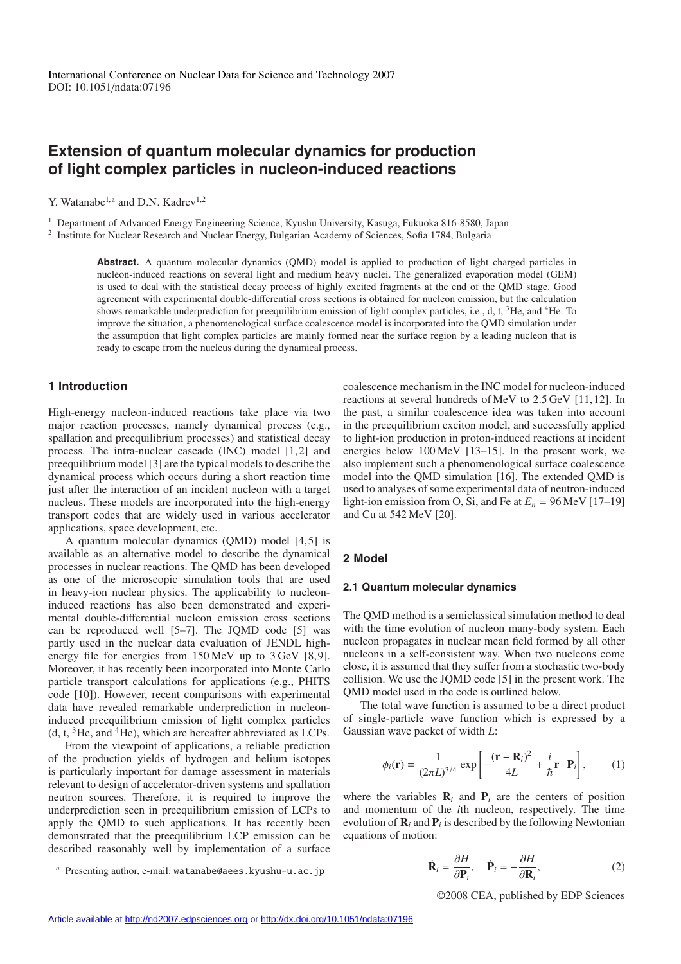# **Extension of quantum molecular dynamics for production of light complex particles in nucleon-induced reactions**

Y. Watanabe<sup>1,a</sup> and D.N. Kadrev<sup>1,2</sup>

<sup>1</sup> Department of Advanced Energy Engineering Science, Kyushu University, Kasuga, Fukuoka 816-8580, Japan

<sup>2</sup> Institute for Nuclear Research and Nuclear Energy, Bulgarian Academy of Sciences, Sofia 1784, Bulgaria

**Abstract.** A quantum molecular dynamics (QMD) model is applied to production of light charged particles in nucleon-induced reactions on several light and medium heavy nuclei. The generalized evaporation model (GEM) is used to deal with the statistical decay process of highly excited fragments at the end of the QMD stage. Good agreement with experimental double-differential cross sections is obtained for nucleon emission, but the calculation shows remarkable underprediction for preequilibrium emission of light complex particles, i.e., d, t,  ${}^{3}$ He, and  ${}^{4}$ He. To improve the situation, a phenomenological surface coalescence model is incorporated into the QMD simulation under the assumption that light complex particles are mainly formed near the surface region by a leading nucleon that is ready to escape from the nucleus during the dynamical process.

## **1 Introduction**

High-energy nucleon-induced reactions take place via two major reaction processes, namely dynamical process (e.g., spallation and preequilibrium processes) and statistical decay process. The intra-nuclear cascade (INC) model [1,2] and preequilibrium model [3] are the typical models to describe the dynamical process which occurs during a short reaction time just after the interaction of an incident nucleon with a target nucleus. These models are incorporated into the high-energy transport codes that are widely used in various accelerator applications, space development, etc.

A quantum molecular dynamics  $(OMD)$  model  $[4, 5]$  is available as an alternative model to describe the dynamical processes in nuclear reactions. The QMD has been developed as one of the microscopic simulation tools that are used in heavy-ion nuclear physics. The applicability to nucleoninduced reactions has also been demonstrated and experimental double-differential nucleon emission cross sections can be reproduced well [5–7]. The JQMD code [5] was partly used in the nuclear data evaluation of JENDL highenergy file for energies from 150 MeV up to 3 GeV [8,9]. Moreover, it has recently been incorporated into Monte Carlo particle transport calculations for applications (e.g., PHITS code [10]). However, recent comparisons with experimental data have revealed remarkable underprediction in nucleoninduced preequilibrium emission of light complex particles  $(d, t, \,^{3}He, \text{and} \,^{4}He)$ , which are hereafter abbreviated as LCPs.

From the viewpoint of applications, a reliable prediction of the production yields of hydrogen and helium isotopes is particularly important for damage assessment in materials relevant to design of accelerator-driven systems and spallation neutron sources. Therefore, it is required to improve the underprediction seen in preequilibrium emission of LCPs to apply the QMD to such applications. It has recently been demonstrated that the preequilibrium LCP emission can be described reasonably well by implementation of a surface coalescence mechanism in the INC model for nucleon-induced reactions at several hundreds of MeV to 2.5 GeV [11, 12]. In the past, a similar coalescence idea was taken into account in the preequilibrium exciton model, and successfully applied to light-ion production in proton-induced reactions at incident energies below 100 MeV [13–15]. In the present work, we also implement such a phenomenological surface coalescence model into the QMD simulation [16]. The extended QMD is used to analyses of some experimental data of neutron-induced light-ion emission from O, Si, and Fe at  $E_n = 96$  MeV [17–19] and Cu at 542 MeV [20].

# **2 Model**

## **2.1 Quantum molecular dynamics**

The QMD method is a semiclassical simulation method to deal with the time evolution of nucleon many-body system. Each nucleon propagates in nuclear mean field formed by all other nucleons in a self-consistent way. When two nucleons come close, it is assumed that they suffer from a stochastic two-body collision. We use the JQMD code [5] in the present work. The QMD model used in the code is outlined below.

The total wave function is assumed to be a direct product of single-particle wave function which is expressed by a Gaussian wave packet of width *L*:

$$
\phi_i(\mathbf{r}) = \frac{1}{(2\pi L)^{3/4}} \exp\left[-\frac{(\mathbf{r} - \mathbf{R}_i)^2}{4L} + \frac{i}{\hbar} \mathbf{r} \cdot \mathbf{P}_i\right],\tag{1}
$$

where the variables  $\mathbf{R}_i$  and  $\mathbf{P}_i$  are the centers of position and momentum of the *i*th nucleon, respectively. The time evolution of  $\mathbf{R}_i$  and  $\mathbf{P}_i$  is described by the following Newtonian equations of motion:

$$
\dot{\mathbf{R}}_i = \frac{\partial H}{\partial \mathbf{P}_i}, \quad \dot{\mathbf{P}}_i = -\frac{\partial H}{\partial \mathbf{R}_i},
$$
(2)

©2008 CEA, published by EDP Sciences

Presenting author, e-mail: watanabe@aees.kyushu-u.ac.jp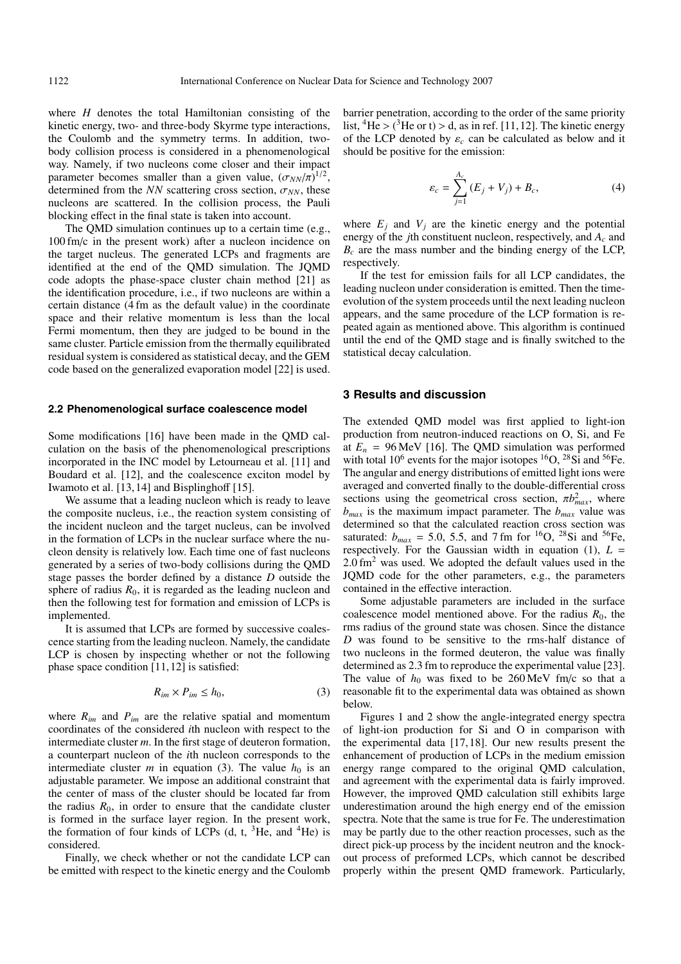where *H* denotes the total Hamiltonian consisting of the kinetic energy, two- and three-body Skyrme type interactions, the Coulomb and the symmetry terms. In addition, twobody collision process is considered in a phenomenological way. Namely, if two nucleons come closer and their impact parameter becomes smaller than a given value,  $(\sigma_{NN}/\pi)^{1/2}$ , determined from the *NN* scattering cross section,  $\sigma_{NN}$ , these nucleons are scattered. In the collision process, the Pauli blocking effect in the final state is taken into account.

The QMD simulation continues up to a certain time (e.g., 100 fm/c in the present work) after a nucleon incidence on the target nucleus. The generated LCPs and fragments are identified at the end of the QMD simulation. The JQMD code adopts the phase-space cluster chain method [21] as the identification procedure, i.e., if two nucleons are within a certain distance (4 fm as the default value) in the coordinate space and their relative momentum is less than the local Fermi momentum, then they are judged to be bound in the same cluster. Particle emission from the thermally equilibrated residual system is considered as statistical decay, and the GEM code based on the generalized evaporation model [22] is used.

#### **2.2 Phenomenological surface coalescence model**

Some modifications [16] have been made in the QMD calculation on the basis of the phenomenological prescriptions incorporated in the INC model by Letourneau et al. [11] and Boudard et al. [12], and the coalescence exciton model by Iwamoto et al. [13, 14] and Bisplinghoff [15].

We assume that a leading nucleon which is ready to leave the composite nucleus, i.e., the reaction system consisting of the incident nucleon and the target nucleus, can be involved in the formation of LCPs in the nuclear surface where the nucleon density is relatively low. Each time one of fast nucleons generated by a series of two-body collisions during the QMD stage passes the border defined by a distance *D* outside the sphere of radius  $R_0$ , it is regarded as the leading nucleon and then the following test for formation and emission of LCPs is implemented.

It is assumed that LCPs are formed by successive coalescence starting from the leading nucleon. Namely, the candidate LCP is chosen by inspecting whether or not the following phase space condition [11, 12] is satisfied:

$$
R_{im} \times P_{im} \le h_0,\tag{3}
$$

where *Rim* and *Pim* are the relative spatial and momentum coordinates of the considered *i*th nucleon with respect to the intermediate cluster *m*. In the first stage of deuteron formation, a counterpart nucleon of the *i*th nucleon corresponds to the intermediate cluster  $m$  in equation (3). The value  $h_0$  is an adjustable parameter. We impose an additional constraint that the center of mass of the cluster should be located far from the radius  $R_0$ , in order to ensure that the candidate cluster is formed in the surface layer region. In the present work, the formation of four kinds of LCPs  $(d, t, 3He, and 4He)$  is considered.

Finally, we check whether or not the candidate LCP can be emitted with respect to the kinetic energy and the Coulomb barrier penetration, according to the order of the same priority list, <sup>4</sup>He > (<sup>3</sup>He or t) > d, as in ref. [11, 12]. The kinetic energy of the LCP denoted by  $\varepsilon_c$  can be calculated as below and it should be positive for the emission:

$$
\varepsilon_c = \sum_{j=1}^{A_c} (E_j + V_j) + B_c,
$$
 (4)

where  $E_i$  and  $V_i$  are the kinetic energy and the potential energy of the *j*th constituent nucleon, respectively, and *Ac* and *Bc* are the mass number and the binding energy of the LCP, respectively.

If the test for emission fails for all LCP candidates, the leading nucleon under consideration is emitted. Then the timeevolution of the system proceeds until the next leading nucleon appears, and the same procedure of the LCP formation is repeated again as mentioned above. This algorithm is continued until the end of the QMD stage and is finally switched to the statistical decay calculation.

#### **3 Results and discussion**

The extended QMD model was first applied to light-ion production from neutron-induced reactions on O, Si, and Fe at  $E_n = 96 \text{ MeV}$  [16]. The QMD simulation was performed with total  $10^6$  events for the major isotopes  ${}^{16}O$ ,  ${}^{28}Si$  and  ${}^{56}Fe$ . The angular and energy distributions of emitted light ions were averaged and converted finally to the double-differential cross sections using the geometrical cross section,  $\pi b_{max}^2$ , where  $b_{max}$  is the maximum impact parameter. The  $b_{max}$  value was determined so that the calculated reaction cross section was saturated:  $b_{max} = 5.0, 5.5,$  and 7 fm for <sup>16</sup>O, <sup>28</sup>Si and <sup>56</sup>Fe, respectively. For the Gaussian width in equation  $(1)$ ,  $L =$  $2.0 \text{ fm}^2$  was used. We adopted the default values used in the JQMD code for the other parameters, e.g., the parameters contained in the effective interaction.

Some adjustable parameters are included in the surface coalescence model mentioned above. For the radius  $R_0$ , the rms radius of the ground state was chosen. Since the distance *D* was found to be sensitive to the rms-half distance of two nucleons in the formed deuteron, the value was finally determined as 2.3 fm to reproduce the experimental value [23]. The value of  $h_0$  was fixed to be 260 MeV fm/c so that a reasonable fit to the experimental data was obtained as shown below.

Figures 1 and 2 show the angle-integrated energy spectra of light-ion production for Si and O in comparison with the experimental data [17, 18]. Our new results present the enhancement of production of LCPs in the medium emission energy range compared to the original QMD calculation, and agreement with the experimental data is fairly improved. However, the improved QMD calculation still exhibits large underestimation around the high energy end of the emission spectra. Note that the same is true for Fe. The underestimation may be partly due to the other reaction processes, such as the direct pick-up process by the incident neutron and the knockout process of preformed LCPs, which cannot be described properly within the present QMD framework. Particularly,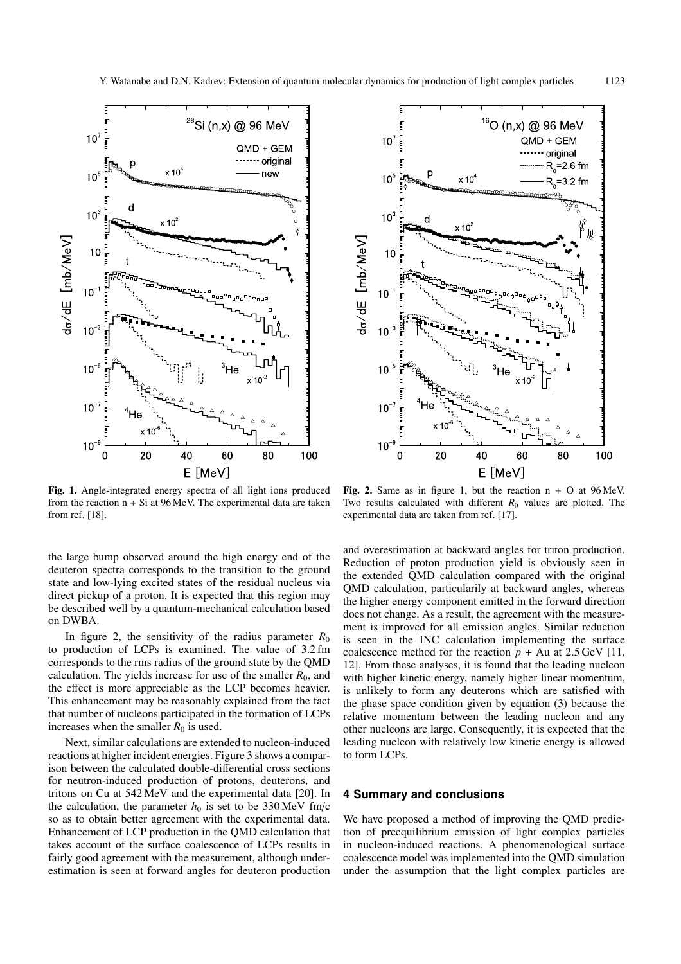

**Fig. 1.** Angle-integrated energy spectra of all light ions produced from the reaction  $n + Si$  at 96 MeV. The experimental data are taken from ref. [18].

the large bump observed around the high energy end of the deuteron spectra corresponds to the transition to the ground state and low-lying excited states of the residual nucleus via direct pickup of a proton. It is expected that this region may be described well by a quantum-mechanical calculation based on DWBA.

In figure 2, the sensitivity of the radius parameter  $R_0$ to production of LCPs is examined. The value of 3.2 fm corresponds to the rms radius of the ground state by the QMD calculation. The yields increase for use of the smaller  $R_0$ , and the effect is more appreciable as the LCP becomes heavier. This enhancement may be reasonably explained from the fact that number of nucleons participated in the formation of LCPs increases when the smaller  $R_0$  is used.

Next, similar calculations are extended to nucleon-induced reactions at higher incident energies. Figure 3 shows a comparison between the calculated double-differential cross sections for neutron-induced production of protons, deuterons, and tritons on Cu at 542 MeV and the experimental data [20]. In the calculation, the parameter  $h_0$  is set to be 330 MeV fm/c so as to obtain better agreement with the experimental data. Enhancement of LCP production in the QMD calculation that takes account of the surface coalescence of LCPs results in fairly good agreement with the measurement, although underestimation is seen at forward angles for deuteron production



**Fig. 2.** Same as in figure 1, but the reaction n + O at 96 MeV. Two results calculated with different  $R_0$  values are plotted. The experimental data are taken from ref. [17].

and overestimation at backward angles for triton production. Reduction of proton production yield is obviously seen in the extended QMD calculation compared with the original QMD calculation, particularily at backward angles, whereas the higher energy component emitted in the forward direction does not change. As a result, the agreement with the measurement is improved for all emission angles. Similar reduction is seen in the INC calculation implementing the surface coalescence method for the reaction  $p + Au$  at 2.5 GeV [11, 12]. From these analyses, it is found that the leading nucleon with higher kinetic energy, namely higher linear momentum, is unlikely to form any deuterons which are satisfied with the phase space condition given by equation (3) because the relative momentum between the leading nucleon and any other nucleons are large. Consequently, it is expected that the leading nucleon with relatively low kinetic energy is allowed to form LCPs.

# **4 Summary and conclusions**

We have proposed a method of improving the QMD prediction of preequilibrium emission of light complex particles in nucleon-induced reactions. A phenomenological surface coalescence model was implemented into the QMD simulation under the assumption that the light complex particles are